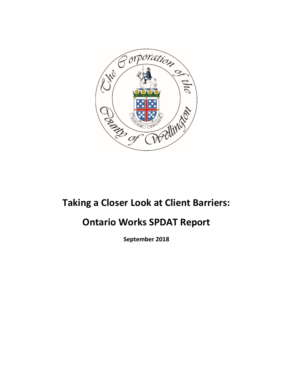

# **Taking a Closer Look at Client Barriers:**

## **Ontario Works SPDAT Report**

**September 2018**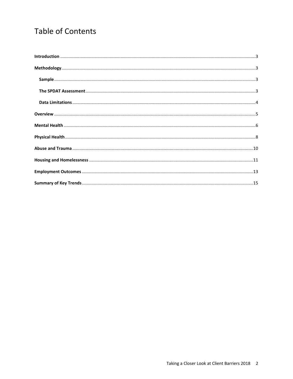## **Table of Contents**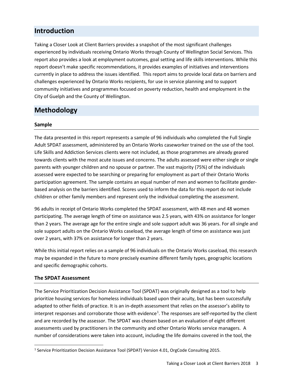## <span id="page-2-0"></span>**Introduction**

Taking a Closer Look at Client Barriers provides a snapshot of the most significant challenges experienced by individuals receiving Ontario Works through County of Wellington Social Services. This report also provides a look at employment outcomes, goal setting and life skills interventions. While this report doesn't make specific recommendations, it provides examples of initiatives and interventions currently in place to address the issues identified. This report aims to provide local data on barriers and challenges experienced by Ontario Works recipients, for use in service planning and to support community initiatives and programmes focused on poverty reduction, health and employment in the City of Guelph and the County of Wellington.

## <span id="page-2-1"></span>**Methodology**

#### <span id="page-2-2"></span>**Sample**

The data presented in this report represents a sample of 96 individuals who completed the Full Single Adult SPDAT assessment, administered by an Ontario Works caseworker trained on the use of the tool. Life Skills and Addiction Services clients were not included, as those programmes are already geared towards clients with the most acute issues and concerns. The adults assessed were either single or single parents with younger children and no spouse or partner. The vast majority (75%) of the individuals assessed were expected to be searching or preparing for employment as part of their Ontario Works participation agreement. The sample contains an equal number of men and women to facilitate genderbased analysis on the barriers identified. Scores used to inform the data for this report do not include children or other family members and represent only the individual completing the assessment.

96 adults in receipt of Ontario Works completed the SPDAT assessment, with 48 men and 48 women participating. The average length of time on assistance was 2.5 years, with 43% on assistance for longer than 2 years. The average age for the entire single and sole support adult was 36 years. For all single and sole support adults on the Ontario Works caseload, the average length of time on assistance was just over 2 years, with 37% on assistance for longer than 2 years.

While this initial report relies on a sample of 96 individuals on the Ontario Works caseload, this research may be expanded in the future to more precisely examine different family types, geographic locations and specific demographic cohorts.

#### <span id="page-2-3"></span>**The SPDAT Assessment**

The Service Prioritization Decision Assistance Tool (SPDAT) was originally designed as a tool to help prioritize housing services for homeless individuals based upon their acuity, but has been successfully adapted to other fields of practice. It is an in-depth assessment that relies on the assessor's ability to interpret responses and corroborate those with evidence<sup>[1](#page-2-4)</sup>. The responses are self-reported by the client and are recorded by the assessor. The SPDAT was chosen based on an evaluation of eight different assessments used by practitioners in the community and other Ontario Works service managers. A number of considerations were taken into account, including the life domains covered in the tool, the

<span id="page-2-4"></span><sup>&</sup>lt;sup>1</sup> Service Prioritization Decision Assistance Tool (SPDAT) Version 4.01, OrgCode Consulting 2015.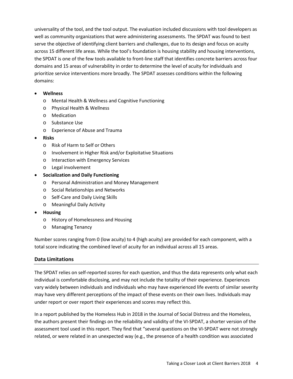universality of the tool, and the tool output. The evaluation included discussions with tool developers as well as community organizations that were administering assessments. The SPDAT was found to best serve the objective of identifying client barriers and challenges, due to its design and focus on acuity across 15 different life areas. While the tool's foundation is housing stability and housing interventions, the SPDAT is one of the few tools available to front-line staff that identifies concrete barriers across four domains and 15 areas of vulnerability in order to determine the level of acuity for individuals and prioritize service interventions more broadly. The SPDAT assesses conditions within the following domains:

#### • **Wellness**

- o Mental Health & Wellness and Cognitive Functioning
- o Physical Health & Wellness
- o Medication
- o Substance Use
- o Experience of Abuse and Trauma
- **Risks**
	- o Risk of Harm to Self or Others
	- o Involvement in Higher Risk and/or Exploitative Situations
	- o Interaction with Emergency Services
	- o Legal involvement
- **Socialization and Daily Functioning**
	- o Personal Administration and Money Management
	- o Social Relationships and Networks
	- o Self-Care and Daily Living Skills
	- o Meaningful Daily Activity
- **Housing**
	- o History of Homelessness and Housing
	- o Managing Tenancy

Number scores ranging from 0 (low acuity) to 4 (high acuity) are provided for each component, with a total score indicating the combined level of acuity for an individual across all 15 areas.

#### <span id="page-3-0"></span>**Data Limitations**

The SPDAT relies on self-reported scores for each question, and thus the data represents only what each individual is comfortable disclosing, and may not include the totality of their experience. Experiences vary widely between individuals and individuals who may have experienced life events of similar severity may have very different perceptions of the impact of these events on their own lives. Individuals may under report or over report their experiences and scores may reflect this.

In a report published by the Homeless Hub in 2018 in the Journal of Social Distress and the Homeless, the authors present their findings on the reliability and validity of the VI-SPDAT, a shorter version of the assessment tool used in this report. They find that "several questions on the VI-SPDAT were not strongly related, or were related in an unexpected way (e.g., the presence of a health condition was associated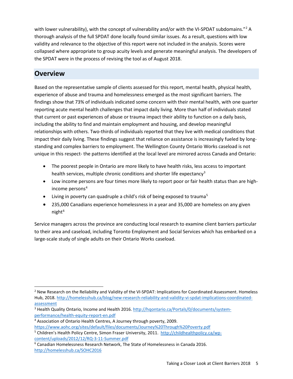with lower vulnerability), with the concept of vulnerability and/or with the VI-SPDAT subdomains."<sup>2</sup> A thorough analysis of the full SPDAT done locally found similar issues. As a result, questions with low validity and relevance to the objective of this report were not included in the analysis. Scores were collapsed where appropriate to group acuity levels and generate meaningful analysis. The developers of the SPDAT were in the process of revising the tool as of August 2018.

## <span id="page-4-0"></span>**Overview**

Based on the representative sample of clients assessed for this report, mental health, physical health, experience of abuse and trauma and homelessness emerged as the most significant barriers. The findings show that 73% of individuals indicated some concern with their mental health, with one quarter reporting acute mental health challenges that impact daily living. More than half of individuals stated that current or past experiences of abuse or trauma impact their ability to function on a daily basis, including the ability to find and maintain employment and housing, and develop meaningful relationships with others. Two-thirds of individuals reported that they live with medical conditions that impact their daily living. These findings suggest that reliance on assistance is increasingly fueled by longstanding and complex barriers to employment. The Wellington County Ontario Works caseload is not unique in this respect- the patterns identified at the local level are mirrored across Canada and Ontario:

- The poorest people in Ontario are more likely to have health risks, less access to important health services, multiple chronic conditions and shorter life expectancy<sup>[3](#page-4-2)</sup>
- Low income persons are four times more likely to report poor or fair health status than are high-income persons<sup>[4](#page-4-3)</sup>
- Living in poverty can quadruple a child's risk of being exposed to trauma<sup>[5](#page-4-4)</sup>
- 235,000 Canadians experience homelessness in a year and 35,000 are homeless on any given night $6$

Service managers across the province are conducting local research to examine client barriers particular to their area and caseload, including Toronto Employment and Social Services which has embarked on a large-scale study of single adults on their Ontario Works caseload.

<span id="page-4-1"></span><sup>&</sup>lt;sup>2</sup> New Research on the Reliability and Validity of the VI-SPDAT: Implications for Coordinated Assessment. Homeless Hub, 2018[. http://homelesshub.ca/blog/new-research-reliability-and-validity-vi-spdat-implications-coordinated](http://homelesshub.ca/blog/new-research-reliability-and-validity-vi-spdat-implications-coordinated-assessment)[assessment](http://homelesshub.ca/blog/new-research-reliability-and-validity-vi-spdat-implications-coordinated-assessment)

<span id="page-4-2"></span><sup>&</sup>lt;sup>3</sup> Health Quality Ontario, Income and Health 2016. [http://hqontario.ca/Portals/0/documents/system](http://hqontario.ca/Portals/0/documents/system-performance/health-equity-report-en.pdf)[performance/health-equity-report-en.pdf](http://hqontario.ca/Portals/0/documents/system-performance/health-equity-report-en.pdf)

<span id="page-4-3"></span><sup>4</sup> Association of Ontario Health Centres, A Journey through poverty, 2009. <https://www.aohc.org/sites/default/files/documents/Journey%20Through%20Poverty.pdf>

<span id="page-4-4"></span><sup>&</sup>lt;sup>5</sup> Children's Health Policy Centre, Simon Fraser University, 2011. [http://childhealthpolicy.ca/wp](http://childhealthpolicy.ca/wp-content/uploads/2012/12/RQ-3-11-Summer.pdf)[content/uploads/2012/12/RQ-3-11-Summer.pdf](http://childhealthpolicy.ca/wp-content/uploads/2012/12/RQ-3-11-Summer.pdf)

<span id="page-4-5"></span><sup>6</sup> Canadian Homelessness Research Network, The State of Homelessness in Canada 2016. <http://homelesshub.ca/SOHC2016>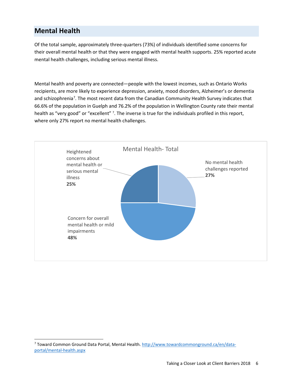## <span id="page-5-0"></span>**Mental Health**

Of the total sample, approximately three-quarters (73%) of individuals identified some concerns for their overall mental health or that they were engaged with mental health supports. 25% reported acute mental health challenges, including serious mental illness.

<span id="page-5-1"></span>Mental health and poverty are connected—people with the lowest incomes, such as Ontario Works recipients, are more likely to experience depression, anxiety, mood disorders, Alzheimer's or dementia and schizophrenia<sup>[7](#page-5-2)</sup>. The most recent data from the Canadian Community Health Survey indicates that 66.6% of the population in Guelph and 76.2% of the population in Wellington County rate their mental health as "very good" or "excellent" <sup>7</sup>[.](#page-5-1) The inverse is true for the individuals profiled in this report, where only 27% report no mental health challenges.



<span id="page-5-2"></span> <sup>7</sup> Toward Common Ground Data Portal, Mental Health[. http://www.towardcommonground.ca/en/data](http://www.towardcommonground.ca/en/data-portal/mental-health.aspx)[portal/mental-health.aspx](http://www.towardcommonground.ca/en/data-portal/mental-health.aspx)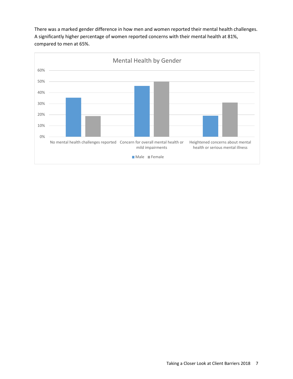There was a marked gender difference in how men and women reported their mental health challenges. A significantly higher percentage of women reported concerns with their mental health at 81%, compared to men at 65%.

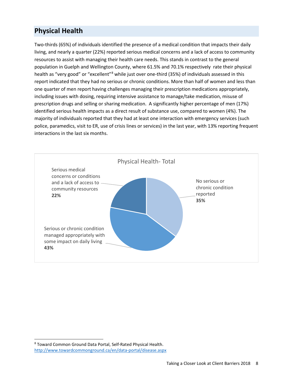## <span id="page-7-0"></span>**Physical Health**

Two-thirds (65%) of individuals identified the presence of a medical condition that impacts their daily living, and nearly a quarter (22%) reported serious medical concerns and a lack of access to community resources to assist with managing their health care needs. This stands in contrast to the general population in Guelph and Wellington County, where 61.5% and 70.1% respectively rate their physical health as "very good" or "excellent"<sup>[8](#page-7-1)</sup> while just over one-third (35%) of individuals assessed in this report indicated that they had no serious or chronic conditions. More than half of women and less than one quarter of men report having challenges managing their prescription medications appropriately, including issues with dosing, requiring intensive assistance to manage/take medication, misuse of prescription drugs and selling or sharing medication. A significantly higher percentage of men (17%) identified serious health impacts as a direct result of substance use, compared to women (4%). The majority of individuals reported that they had at least one interaction with emergency services (such police, paramedics, visit to ER, use of crisis lines or services) in the last year, with 13% reporting frequent interactions in the last six months.



<span id="page-7-1"></span> <sup>8</sup> Toward Common Ground Data Portal, Self-Rated Physical Health. <http://www.towardcommonground.ca/en/data-portal/disease.aspx>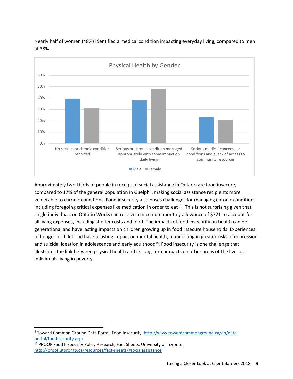

Nearly half of women (48%) identified a medical condition impacting everyday living, compared to men at 38%.

<span id="page-8-0"></span>Approximately two-thirds of people in receipt of social assistance in Ontario are food insecure, compared to 17% of the general population in Guelph<sup>[9](#page-8-1)</sup>, making social assistance recipients more vulnerable to chronic conditions. Food insecurity also poses challenges for managing chronic conditions, including foregoing critical expenses like medication in order to eat<sup>[10](#page-8-2)</sup>. This is not surprising given that single individuals on Ontario Works can receive a maximum monthly allowance of \$721 to account for all living expenses, including shelter costs and food. The impacts of food insecurity on health can be generational and have lasting impacts on children growing up in food insecure households. Experiences of hunger in childhood have a lasting impact on mental health, manifesting in greater risks of depression and suicidal ideation in adolescence and early adulthood<sup>10</sup>. Food insecurity is one challenge that illustrates the link between physical health and its long-term impacts on other areas of the lives on individuals living in poverty.

<span id="page-8-1"></span><sup>9</sup> Toward Common Ground Data Portal, Food Insecurity. [http://www.towardcommonground.ca/en/data](http://www.towardcommonground.ca/en/data-portal/food-security.aspx)[portal/food-security.aspx](http://www.towardcommonground.ca/en/data-portal/food-security.aspx)

<span id="page-8-2"></span><sup>&</sup>lt;sup>10</sup> PROOF Food Insecurity Policy Research, Fact Sheets. University of Toronto. <http://proof.utoronto.ca/resources/fact-sheets/#socialassistance>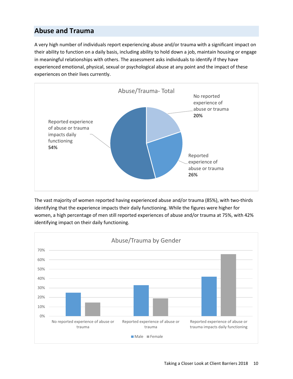## <span id="page-9-0"></span>**Abuse and Trauma**

A very high number of individuals report experiencing abuse and/or trauma with a significant impact on their ability to function on a daily basis, including ability to hold down a job, maintain housing or engage in meaningful relationships with others. The assessment asks individuals to identify if they have experienced emotional, physical, sexual or psychological abuse at any point and the impact of these experiences on their lives currently.



The vast majority of women reported having experienced abuse and/or trauma (85%), with two-thirds identifying that the experience impacts their daily functioning. While the figures were higher for women, a high percentage of men still reported experiences of abuse and/or trauma at 75%, with 42% identifying impact on their daily functioning.

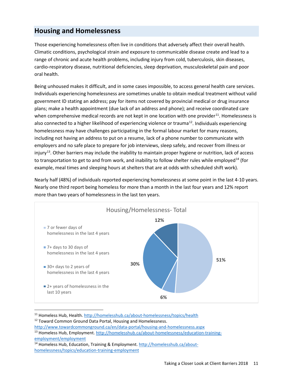### <span id="page-10-0"></span>**Housing and Homelessness**

Those experiencing homelessness often live in conditions that adversely affect their overall health. Climatic conditions, psychological strain and exposure to communicable disease create and lead to a range of chronic and acute health problems, including injury from cold, tuberculosis, skin diseases, cardio-respiratory disease, nutritional deficiencies, sleep deprivation, musculoskeletal pain and poor oral health.

Being unhoused makes it difficult, and in some cases impossible, to access general health care services. Individuals experiencing homelessness are sometimes unable to obtain medical treatment without valid government ID stating an address; pay for items not covered by provincial medical or drug insurance plans; make a health appointment (due lack of an address and phone); and receive coordinated care when comprehensive medical records are not kept in one location with one provider<sup>11</sup>. Homelessness is also connected to a higher likelihood of experiencing violence or trauma<sup>[12](#page-10-2)</sup>. Individuals experiencing homelessness may have challenges participating in the formal labour market for many reasons, including not having an address to put on a resume, lack of a phone number to communicate with employers and no safe place to prepare for job interviews, sleep safely, and recover from illness or injury<sup>[13](#page-10-3)</sup>. Other barriers may include the inability to maintain proper hygiene or nutrition, lack of access to transportation to get to and from work, and inability to follow shelter rules while employed<sup>[14](#page-10-4)</sup> (for example, meal times and sleeping hours at shelters that are at odds with scheduled shift work).

Nearly half (48%) of individuals reported experiencing homelessness at some point in the last 4-10 years. Nearly one third report being homeless for more than a month in the last four years and 12% report more than two years of homelessness in the last ten years.



<span id="page-10-1"></span><sup>11</sup> Homeless Hub, Health.<http://homelesshub.ca/about-homelessness/topics/health>

<span id="page-10-2"></span><sup>12</sup> Toward Common Ground Data Portal, Housing and Homelessness.

<http://www.towardcommonground.ca/en/data-portal/housing-and-homelessness.aspx>

<span id="page-10-3"></span><sup>13</sup> Homeless Hub, Employment[. http://homelesshub.ca/about-homelessness/education-training](http://homelesshub.ca/about-homelessness/education-training-employment/employment)[employment/employment](http://homelesshub.ca/about-homelessness/education-training-employment/employment)

<span id="page-10-4"></span><sup>&</sup>lt;sup>14</sup> Homeless Hub, Education, Training & Employment. [http://homelesshub.ca/about](http://homelesshub.ca/about-homelessness/topics/education-training-employment)[homelessness/topics/education-training-employment](http://homelesshub.ca/about-homelessness/topics/education-training-employment)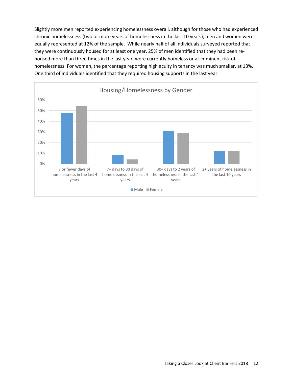Slightly more men reported experiencing homelessness overall, although for those who had experienced chronic homelessness (two or more years of homelessness in the last 10 years), men and women were equally represented at 12% of the sample. While nearly half of all individuals surveyed reported that they were continuously housed for at least one year, 25% of men identified that they had been rehoused more than three times in the last year, were currently homeless or at imminent risk of homelessness. For women, the percentage reporting high acuity in tenancy was much smaller, at 13%. One third of individuals identified that they required housing supports in the last year.

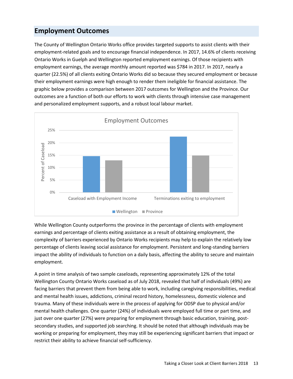### <span id="page-12-0"></span>**Employment Outcomes**

The County of Wellington Ontario Works office provides targeted supports to assist clients with their employment-related goals and to encourage financial independence. In 2017, 14.6% of clients receiving Ontario Works in Guelph and Wellington reported employment earnings. Of those recipients with employment earnings, the average monthly amount reported was \$784 in 2017. In 2017, nearly a quarter (22.5%) of all clients exiting Ontario Works did so because they secured employment or because their employment earnings were high enough to render them ineligible for financial assistance. The graphic below provides a comparison between 2017 outcomes for Wellington and the Province. Our outcomes are a function of both our efforts to work with clients through intensive case management and personalized employment supports, and a robust local labour market.



While Wellington County outperforms the province in the percentage of clients with employment earnings and percentage of clients exiting assistance as a result of obtaining employment, the complexity of barriers experienced by Ontario Works recipients may help to explain the relatively low percentage of clients leaving social assistance for employment. Persistent and long-standing barriers impact the ability of individuals to function on a daily basis, affecting the ability to secure and maintain employment.

A point in time analysis of two sample caseloads, representing approximately 12% of the total Wellington County Ontario Works caseload as of July 2018, revealed that half of individuals (49%) are facing barriers that prevent them from being able to work, including caregiving responsibilities, medical and mental health issues, addictions, criminal record history, homelessness, domestic violence and trauma. Many of these individuals were in the process of applying for ODSP due to physical and/or mental health challenges. One quarter (24%) of individuals were employed full time or part time, and just over one quarter (27%) were preparing for employment through basic education, training, postsecondary studies, and supported job searching. It should be noted that although individuals may be working or preparing for employment, they may still be experiencing significant barriers that impact or restrict their ability to achieve financial self-sufficiency.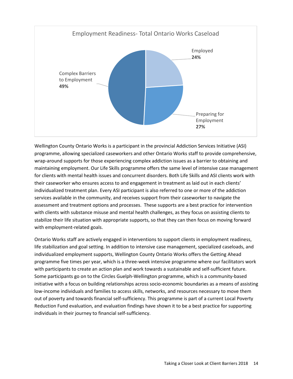

Wellington County Ontario Works is a participant in the provincial Addiction Services Initiative (ASI) programme, allowing specialized caseworkers and other Ontario Works staff to provide comprehensive, wrap-around supports for those experiencing complex addiction issues as a barrier to obtaining and maintaining employment. Our Life Skills programme offers the same level of intensive case management for clients with mental health issues and concurrent disorders. Both Life Skills and ASI clients work with their caseworker who ensures access to and engagement in treatment as laid out in each clients' individualized treatment plan. Every ASI participant is also referred to one or more of the addiction services available in the community, and receives support from their caseworker to navigate the assessment and treatment options and processes. These supports are a best practice for intervention with clients with substance misuse and mental health challenges, as they focus on assisting clients to stabilize their life situation with appropriate supports, so that they can then focus on moving forward with employment-related goals.

Ontario Works staff are actively engaged in interventions to support clients in employment readiness, life stabilization and goal setting. In addition to intensive case management, specialized caseloads, and individualized employment supports, Wellington County Ontario Works offers the Getting Ahead programme five times per year, which is a three-week intensive programme where our facilitators work with participants to create an action plan and work towards a sustainable and self-sufficient future. Some participants go on to the Circles Guelph-Wellington programme, which is a community-based initiative with a focus on building relationships across socio-economic boundaries as a means of assisting low-income individuals and families to access skills, networks, and resources necessary to move them out of poverty and towards financial self-sufficiency. This programme is part of a current Local Poverty Reduction Fund evaluation, and evaluation findings have shown it to be a best practice for supporting individuals in their journey to financial self-sufficiency.